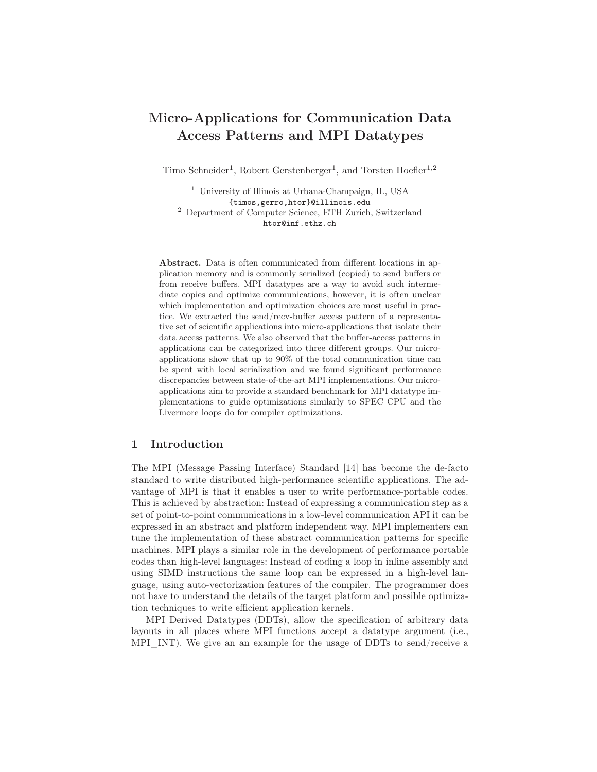# Micro-Applications for Communication Data Access Patterns and MPI Datatypes

Timo Schneider<sup>1</sup>, Robert Gerstenberger<sup>1</sup>, and Torsten Hoefler<sup>1,2</sup>

<sup>1</sup> University of Illinois at Urbana-Champaign, IL, USA {timos,gerro,htor}@illinois.edu <sup>2</sup> Department of Computer Science, ETH Zurich, Switzerland htor@inf.ethz.ch

Abstract. Data is often communicated from different locations in application memory and is commonly serialized (copied) to send buffers or from receive buffers. MPI datatypes are a way to avoid such intermediate copies and optimize communications, however, it is often unclear which implementation and optimization choices are most useful in practice. We extracted the send/recv-buffer access pattern of a representative set of scientific applications into micro-applications that isolate their data access patterns. We also observed that the buffer-access patterns in applications can be categorized into three different groups. Our microapplications show that up to 90% of the total communication time can be spent with local serialization and we found significant performance discrepancies between state-of-the-art MPI implementations. Our microapplications aim to provide a standard benchmark for MPI datatype implementations to guide optimizations similarly to SPEC CPU and the Livermore loops do for compiler optimizations.

## 1 Introduction

The MPI (Message Passing Interface) Standard [14] has become the de-facto standard to write distributed high-performance scientific applications. The advantage of MPI is that it enables a user to write performance-portable codes. This is achieved by abstraction: Instead of expressing a communication step as a set of point-to-point communications in a low-level communication API it can be expressed in an abstract and platform independent way. MPI implementers can tune the implementation of these abstract communication patterns for specific machines. MPI plays a similar role in the development of performance portable codes than high-level languages: Instead of coding a loop in inline assembly and using SIMD instructions the same loop can be expressed in a high-level language, using auto-vectorization features of the compiler. The programmer does not have to understand the details of the target platform and possible optimization techniques to write efficient application kernels.

MPI Derived Datatypes (DDTs), allow the specification of arbitrary data layouts in all places where MPI functions accept a datatype argument (i.e., MPI  $\overline{INT}$ . We give an an example for the usage of DDTs to send/receive a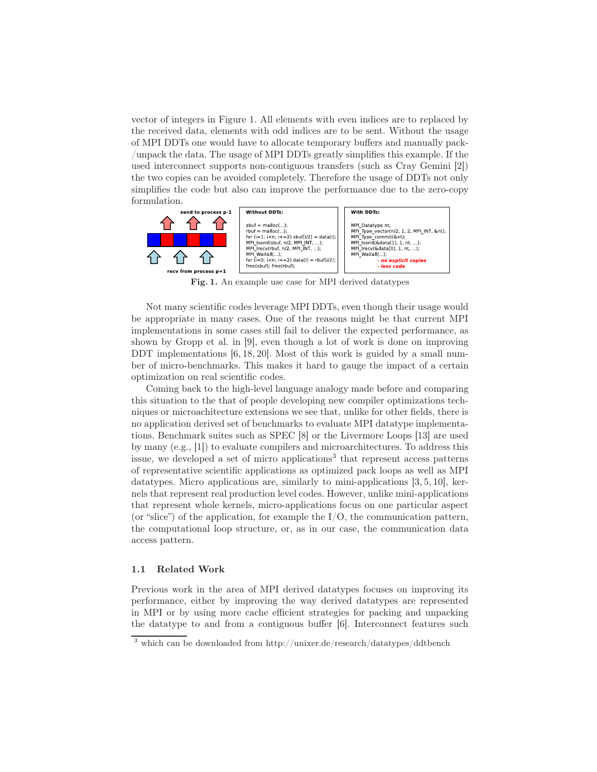vector of integers in Figure 1. All elements with even indices are to replaced by the received data, elements with odd indices are to be sent. Without the usage of MPI DDTs one would have to allocate temporary buffers and manually pack- /unpack the data. The usage of MPI DDTs greatly simplifies this example. If the used interconnect supports non-contiguous transfers (such as Cray Gemini [2]) the two copies can be avoided completely. Therefore the usage of DDTs not only simplifies the code but also can improve the performance due to the zero-copy formulation.



Fig. 1. An example use case for MPI derived datatypes

Not many scientific codes leverage MPI DDTs, even though their usage would be appropriate in many cases. One of the reasons might be that current MPI implementations in some cases still fail to deliver the expected performance, as shown by Gropp et al. in [9], even though a lot of work is done on improving DDT implementations [6, 18, 20]. Most of this work is guided by a small number of micro-benchmarks. This makes it hard to gauge the impact of a certain optimization on real scientific codes.

Coming back to the high-level language analogy made before and comparing this situation to the that of people developing new compiler optimizations techniques or microachitecture extensions we see that, unlike for other fields, there is no application derived set of benchmarks to evaluate MPI datatype implementations. Benchmark suites such as SPEC [8] or the Livermore Loops [13] are used by many (e.g., [1]) to evaluate compilers and microarchitectures. To address this issue, we developed a set of micro applications<sup>3</sup> that represent access patterns of representative scientific applications as optimized pack loops as well as MPI datatypes. Micro applications are, similarly to mini-applications [3, 5, 10], kernels that represent real production level codes. However, unlike mini-applications that represent whole kernels, micro-applications focus on one particular aspect (or "slice") of the application, for example the  $I/O$ , the communication pattern, the computational loop structure, or, as in our case, the communication data access pattern.

#### 1.1 Related Work

Previous work in the area of MPI derived datatypes focuses on improving its performance, either by improving the way derived datatypes are represented in MPI or by using more cache efficient strategies for packing and unpacking the datatype to and from a contiguous buffer [6]. Interconnect features such

<sup>3</sup> which can be downloaded from http://unixer.de/research/datatypes/ddtbench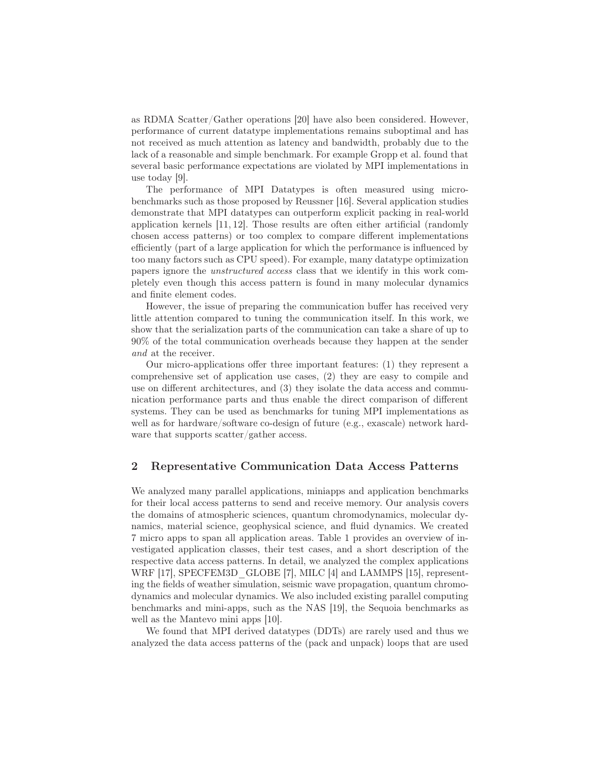as RDMA Scatter/Gather operations [20] have also been considered. However, performance of current datatype implementations remains suboptimal and has not received as much attention as latency and bandwidth, probably due to the lack of a reasonable and simple benchmark. For example Gropp et al. found that several basic performance expectations are violated by MPI implementations in use today [9].

The performance of MPI Datatypes is often measured using microbenchmarks such as those proposed by Reussner [16]. Several application studies demonstrate that MPI datatypes can outperform explicit packing in real-world application kernels [11, 12]. Those results are often either artificial (randomly chosen access patterns) or too complex to compare different implementations efficiently (part of a large application for which the performance is influenced by too many factors such as CPU speed). For example, many datatype optimization papers ignore the unstructured access class that we identify in this work completely even though this access pattern is found in many molecular dynamics and finite element codes.

However, the issue of preparing the communication buffer has received very little attention compared to tuning the communication itself. In this work, we show that the serialization parts of the communication can take a share of up to 90% of the total communication overheads because they happen at the sender and at the receiver.

Our micro-applications offer three important features: (1) they represent a comprehensive set of application use cases, (2) they are easy to compile and use on different architectures, and (3) they isolate the data access and communication performance parts and thus enable the direct comparison of different systems. They can be used as benchmarks for tuning MPI implementations as well as for hardware/software co-design of future (e.g., exascale) network hardware that supports scatter/gather access.

# 2 Representative Communication Data Access Patterns

We analyzed many parallel applications, miniapps and application benchmarks for their local access patterns to send and receive memory. Our analysis covers the domains of atmospheric sciences, quantum chromodynamics, molecular dynamics, material science, geophysical science, and fluid dynamics. We created 7 micro apps to span all application areas. Table 1 provides an overview of investigated application classes, their test cases, and a short description of the respective data access patterns. In detail, we analyzed the complex applications WRF [17], SPECFEM3D GLOBE [7], MILC [4] and LAMMPS [15], representing the fields of weather simulation, seismic wave propagation, quantum chromodynamics and molecular dynamics. We also included existing parallel computing benchmarks and mini-apps, such as the NAS [19], the Sequoia benchmarks as well as the Mantevo mini apps  $[10]$ .

We found that MPI derived datatypes (DDTs) are rarely used and thus we analyzed the data access patterns of the (pack and unpack) loops that are used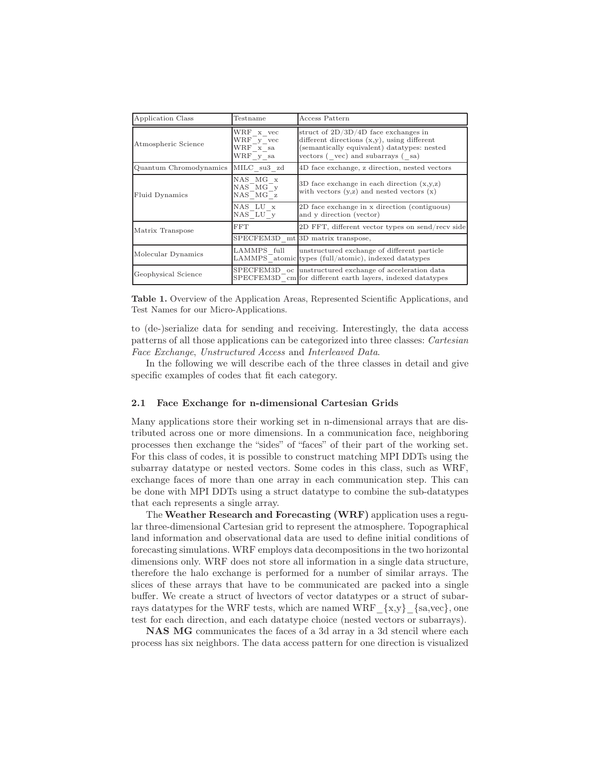| Application Class      | $\operatorname{Testname}$                                                               | Access Pattern                                                                                                                                                              |
|------------------------|-----------------------------------------------------------------------------------------|-----------------------------------------------------------------------------------------------------------------------------------------------------------------------------|
| Atmospheric Science    | WRF x vec<br>WRF y vec<br>$WRF$ <sub>x</sub> sa<br>$WRF$ <sup>-</sup> y <sup>-</sup> sa | struct of $2D/3D/4D$ face exchanges in<br>different directions $(x,y)$ , using different<br>(semantically equivalent) datatypes: nested<br>vectors (vec) and subarrays (sa) |
| Quantum Chromodynamics | MILC su3 zd                                                                             | 4D face exchange, z direction, nested vectors                                                                                                                               |
| Fluid Dynamics         | NAS MG x<br>$NAS$ $MG$ <sub>y</sub><br>$NAS$ $MG$ $z$                                   | 3D face exchange in each direction $(x,y,z)$<br>with vectors $(y,z)$ and nested vectors $(x)$                                                                               |
|                        | NAS LU x<br>NAS LU y                                                                    | 2D face exchange in x direction (contiguous)<br>and y direction (vector)                                                                                                    |
| Matrix Transpose       | <b>FFT</b>                                                                              | 2D FFT, different vector types on send/recv side                                                                                                                            |
|                        |                                                                                         | SPECFEM3D mt 3D matrix transpose,                                                                                                                                           |
| Molecular Dynamics     | LAMMPS full                                                                             | unstructured exchange of different particle<br>$LAMMPS$ <sup>-</sup> atomic types (full/atomic), indexed datatypes                                                          |
| Geophysical Science    |                                                                                         | SPECFEM3D oc unstructured exchange of acceleration data<br>SPECFEM3D <sup>-</sup> cm for different earth layers, indexed datatypes                                          |

Table 1. Overview of the Application Areas, Represented Scientific Applications, and Test Names for our Micro-Applications.

to (de-)serialize data for sending and receiving. Interestingly, the data access patterns of all those applications can be categorized into three classes: Cartesian Face Exchange, Unstructured Access and Interleaved Data.

In the following we will describe each of the three classes in detail and give specific examples of codes that fit each category.

#### 2.1 Face Exchange for n-dimensional Cartesian Grids

Many applications store their working set in n-dimensional arrays that are distributed across one or more dimensions. In a communication face, neighboring processes then exchange the "sides" of "faces" of their part of the working set. For this class of codes, it is possible to construct matching MPI DDTs using the subarray datatype or nested vectors. Some codes in this class, such as WRF, exchange faces of more than one array in each communication step. This can be done with MPI DDTs using a struct datatype to combine the sub-datatypes that each represents a single array.

The Weather Research and Forecasting (WRF) application uses a regular three-dimensional Cartesian grid to represent the atmosphere. Topographical land information and observational data are used to define initial conditions of forecasting simulations. WRF employs data decompositions in the two horizontal dimensions only. WRF does not store all information in a single data structure, therefore the halo exchange is performed for a number of similar arrays. The slices of these arrays that have to be communicated are packed into a single buffer. We create a struct of hvectors of vector datatypes or a struct of subarrays datatypes for the WRF tests, which are named WRF  $\{x,y\}$   $\{sa,vec\}$ , one test for each direction, and each datatype choice (nested vectors or subarrays).

NAS MG communicates the faces of a 3d array in a 3d stencil where each process has six neighbors. The data access pattern for one direction is visualized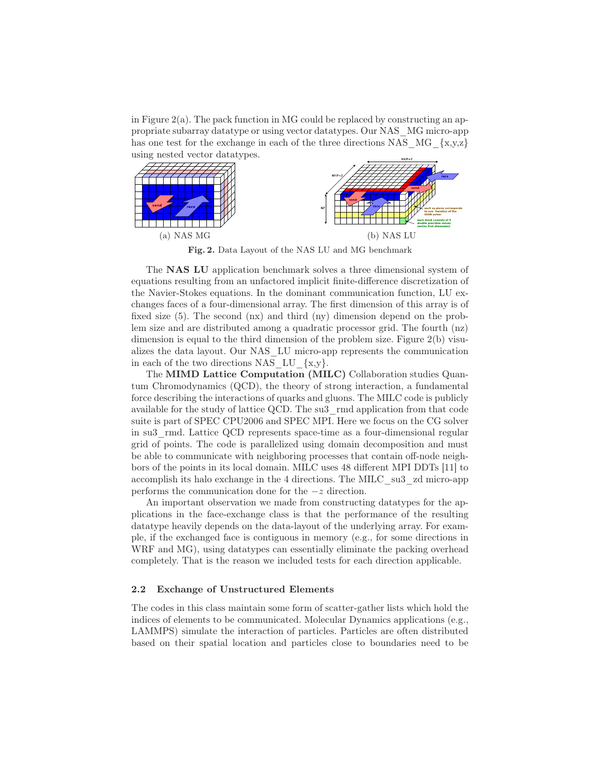in Figure  $2(a)$ . The pack function in MG could be replaced by constructing an appropriate subarray datatype or using vector datatypes. Our NAS\_MG micro-app has one test for the exchange in each of the three directions NAS  $MG_{x,y,z}$ using nested vector datatypes.



Fig. 2. Data Layout of the NAS LU and MG benchmark

The NAS LU application benchmark solves a three dimensional system of equations resulting from an unfactored implicit finite-difference discretization of the Navier-Stokes equations. In the dominant communication function, LU exchanges faces of a four-dimensional array. The first dimension of this array is of fixed size (5). The second (nx) and third (ny) dimension depend on the problem size and are distributed among a quadratic processor grid. The fourth (nz) dimension is equal to the third dimension of the problem size. Figure 2(b) visualizes the data layout. Our NAS\_LU micro-app represents the communication in each of the two directions NAS LU  $\{x,y\}$ .

The MIMD Lattice Computation (MILC) Collaboration studies Quantum Chromodynamics (QCD), the theory of strong interaction, a fundamental force describing the interactions of quarks and gluons. The MILC code is publicly available for the study of lattice QCD. The su3\_rmd application from that code suite is part of SPEC CPU2006 and SPEC MPI. Here we focus on the CG solver in su3\_rmd. Lattice QCD represents space-time as a four-dimensional regular grid of points. The code is parallelized using domain decomposition and must be able to communicate with neighboring processes that contain off-node neighbors of the points in its local domain. MILC uses 48 different MPI DDTs [11] to accomplish its halo exchange in the 4 directions. The MILC\_su3\_zd micro-app performs the communication done for the −z direction.

An important observation we made from constructing datatypes for the applications in the face-exchange class is that the performance of the resulting datatype heavily depends on the data-layout of the underlying array. For example, if the exchanged face is contiguous in memory (e.g., for some directions in WRF and MG), using datatypes can essentially eliminate the packing overhead completely. That is the reason we included tests for each direction applicable.

## 2.2 Exchange of Unstructured Elements

The codes in this class maintain some form of scatter-gather lists which hold the indices of elements to be communicated. Molecular Dynamics applications (e.g., LAMMPS) simulate the interaction of particles. Particles are often distributed based on their spatial location and particles close to boundaries need to be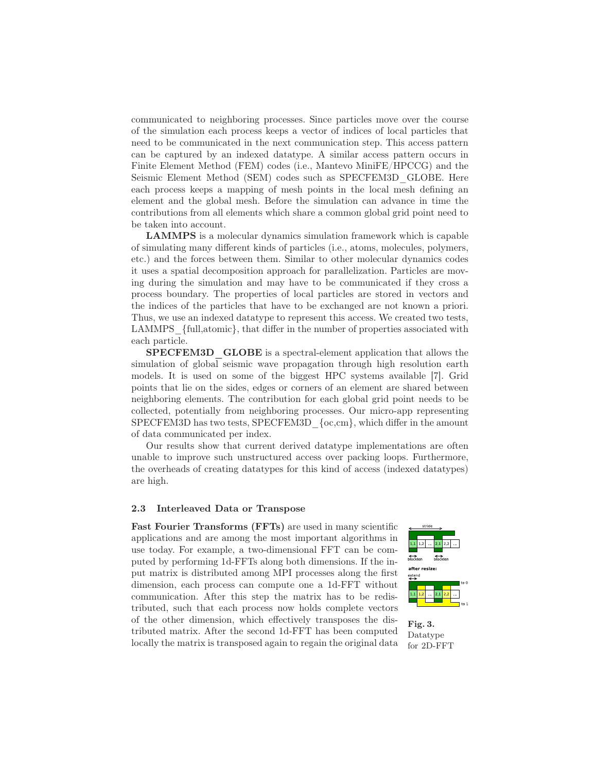communicated to neighboring processes. Since particles move over the course of the simulation each process keeps a vector of indices of local particles that need to be communicated in the next communication step. This access pattern can be captured by an indexed datatype. A similar access pattern occurs in Finite Element Method (FEM) codes (i.e., Mantevo MiniFE/HPCCG) and the Seismic Element Method (SEM) codes such as SPECFEM3D\_GLOBE. Here each process keeps a mapping of mesh points in the local mesh defining an element and the global mesh. Before the simulation can advance in time the contributions from all elements which share a common global grid point need to be taken into account.

LAMMPS is a molecular dynamics simulation framework which is capable of simulating many different kinds of particles (i.e., atoms, molecules, polymers, etc.) and the forces between them. Similar to other molecular dynamics codes it uses a spatial decomposition approach for parallelization. Particles are moving during the simulation and may have to be communicated if they cross a process boundary. The properties of local particles are stored in vectors and the indices of the particles that have to be exchanged are not known a priori. Thus, we use an indexed datatype to represent this access. We created two tests, LAMMPS {full,atomic}, that differ in the number of properties associated with each particle.

SPECFEM3D GLOBE is a spectral-element application that allows the simulation of global seismic wave propagation through high resolution earth models. It is used on some of the biggest HPC systems available [7]. Grid points that lie on the sides, edges or corners of an element are shared between neighboring elements. The contribution for each global grid point needs to be collected, potentially from neighboring processes. Our micro-app representing  $SPECTEM3D$  has two tests,  $SPECTEM3D$  {oc,cm}, which differ in the amount of data communicated per index.

Our results show that current derived datatype implementations are often unable to improve such unstructured access over packing loops. Furthermore, the overheads of creating datatypes for this kind of access (indexed datatypes) are high.

#### 2.3 Interleaved Data or Transpose

Fast Fourier Transforms (FFTs) are used in many scientific applications and are among the most important algorithms in use today. For example, a two-dimensional FFT can be computed by performing 1d-FFTs along both dimensions. If the input matrix is distributed among MPI processes along the first dimension, each process can compute one a 1d-FFT without communication. After this step the matrix has to be redistributed, such that each process now holds complete vectors of the other dimension, which effectively transposes the distributed matrix. After the second 1d-FFT has been computed locally the matrix is transposed again to regain the original data



Fig. 3. Datatype for 2D-FFT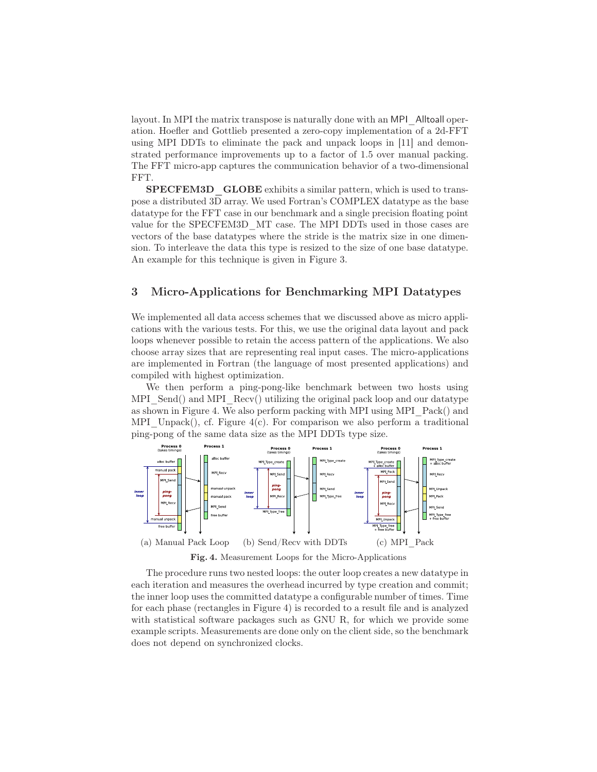layout. In MPI the matrix transpose is naturally done with an MPI\_Alltoall operation. Hoefler and Gottlieb presented a zero-copy implementation of a 2d-FFT using MPI DDTs to eliminate the pack and unpack loops in [11] and demonstrated performance improvements up to a factor of 1.5 over manual packing. The FFT micro-app captures the communication behavior of a two-dimensional FFT.

SPECFEM3D\_GLOBE exhibits a similar pattern, which is used to transpose a distributed 3D array. We used Fortran's COMPLEX datatype as the base datatype for the FFT case in our benchmark and a single precision floating point value for the SPECFEM3D\_MT case. The MPI DDTs used in those cases are vectors of the base datatypes where the stride is the matrix size in one dimension. To interleave the data this type is resized to the size of one base datatype. An example for this technique is given in Figure 3.

# 3 Micro-Applications for Benchmarking MPI Datatypes

We implemented all data access schemes that we discussed above as micro applications with the various tests. For this, we use the original data layout and pack loops whenever possible to retain the access pattern of the applications. We also choose array sizes that are representing real input cases. The micro-applications are implemented in Fortran (the language of most presented applications) and compiled with highest optimization.

We then perform a ping-pong-like benchmark between two hosts using MPI  $\mathcal{S}$ end() and MPI  $\mathcal{R}$ ecv() utilizing the original pack loop and our datatype as shown in Figure 4. We also perform packing with MPI using MPI\_Pack() and MPI Unpack(), cf. Figure  $4(c)$ . For comparison we also perform a traditional ping-pong of the same data size as the MPI DDTs type size.



The procedure runs two nested loops: the outer loop creates a new datatype in each iteration and measures the overhead incurred by type creation and commit; the inner loop uses the committed datatype a configurable number of times. Time for each phase (rectangles in Figure 4) is recorded to a result file and is analyzed with statistical software packages such as GNU R, for which we provide some example scripts. Measurements are done only on the client side, so the benchmark does not depend on synchronized clocks.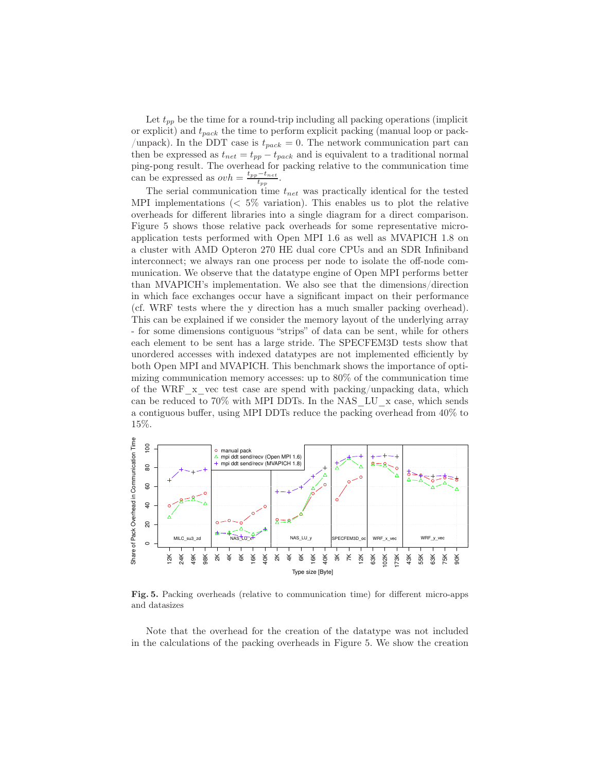Let  $t_{pp}$  be the time for a round-trip including all packing operations (implicit or explicit) and  $t_{pack}$  the time to perform explicit packing (manual loop or pack-/unpack). In the DDT case is  $t_{pack} = 0$ . The network communication part can then be expressed as  $t_{net} = t_{pp} - t_{pack}$  and is equivalent to a traditional normal ping-pong result. The overhead for packing relative to the communication time can be expressed as  $ovh = \frac{t_{pp}-t_{net}}{t}$  $\frac{-\iota_{net}}{t_{pp}}$ .

The serial communication time  $t_{net}$  was practically identical for the tested MPI implementations ( $\lt$  5% variation). This enables us to plot the relative overheads for different libraries into a single diagram for a direct comparison. Figure 5 shows those relative pack overheads for some representative microapplication tests performed with Open MPI 1.6 as well as MVAPICH 1.8 on a cluster with AMD Opteron 270 HE dual core CPUs and an SDR Infiniband interconnect; we always ran one process per node to isolate the off-node communication. We observe that the datatype engine of Open MPI performs better than MVAPICH's implementation. We also see that the dimensions/direction in which face exchanges occur have a significant impact on their performance (cf. WRF tests where the y direction has a much smaller packing overhead). This can be explained if we consider the memory layout of the underlying array - for some dimensions contiguous "strips" of data can be sent, while for others each element to be sent has a large stride. The SPECFEM3D tests show that unordered accesses with indexed datatypes are not implemented efficiently by both Open MPI and MVAPICH. This benchmark shows the importance of optimizing communication memory accesses: up to 80% of the communication time of the WRF\_x\_vec test case are spend with packing/unpacking data, which can be reduced to 70% with MPI DDTs. In the NAS\_LU\_x case, which sends a contiguous buffer, using MPI DDTs reduce the packing overhead from 40% to 15%.



Fig. 5. Packing overheads (relative to communication time) for different micro-apps and datasizes

Note that the overhead for the creation of the datatype was not included in the calculations of the packing overheads in Figure 5. We show the creation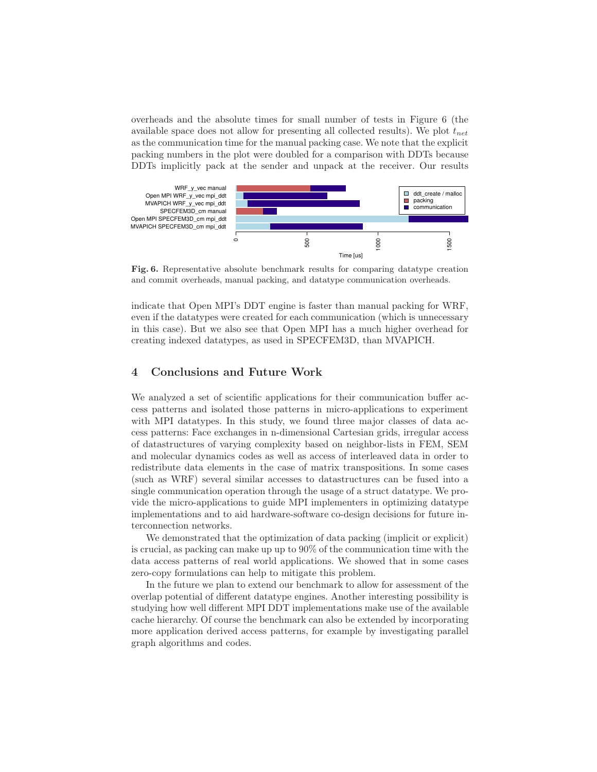overheads and the absolute times for small number of tests in Figure 6 (the available space does not allow for presenting all collected results). We plot  $t_{net}$ as the communication time for the manual packing case. We note that the explicit packing numbers in the plot were doubled for a comparison with DDTs because DDTs implicitly pack at the sender and unpack at the receiver. Our results



Fig. 6. Representative absolute benchmark results for comparing datatype creation and commit overheads, manual packing, and datatype communication overheads.

indicate that Open MPI's DDT engine is faster than manual packing for WRF, even if the datatypes were created for each communication (which is unnecessary in this case). But we also see that Open MPI has a much higher overhead for creating indexed datatypes, as used in SPECFEM3D, than MVAPICH.

# 4 Conclusions and Future Work

We analyzed a set of scientific applications for their communication buffer access patterns and isolated those patterns in micro-applications to experiment with MPI datatypes. In this study, we found three major classes of data access patterns: Face exchanges in n-dimensional Cartesian grids, irregular access of datastructures of varying complexity based on neighbor-lists in FEM, SEM and molecular dynamics codes as well as access of interleaved data in order to redistribute data elements in the case of matrix transpositions. In some cases (such as WRF) several similar accesses to datastructures can be fused into a single communication operation through the usage of a struct datatype. We provide the micro-applications to guide MPI implementers in optimizing datatype implementations and to aid hardware-software co-design decisions for future interconnection networks.

We demonstrated that the optimization of data packing (implicit or explicit) is crucial, as packing can make up up to 90% of the communication time with the data access patterns of real world applications. We showed that in some cases zero-copy formulations can help to mitigate this problem.

In the future we plan to extend our benchmark to allow for assessment of the overlap potential of different datatype engines. Another interesting possibility is studying how well different MPI DDT implementations make use of the available cache hierarchy. Of course the benchmark can also be extended by incorporating more application derived access patterns, for example by investigating parallel graph algorithms and codes.